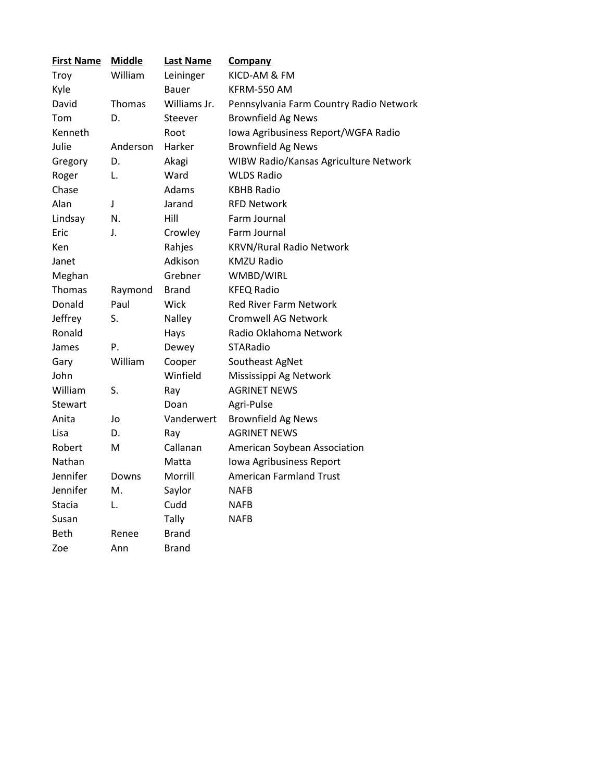| <b>First Name</b> | <b>Middle</b> | <b>Last Name</b> | <b>Company</b>                          |  |  |
|-------------------|---------------|------------------|-----------------------------------------|--|--|
| Troy              | William       | Leininger        | KICD-AM & FM                            |  |  |
| Kyle              |               | Bauer            | KFRM-550 AM                             |  |  |
| David             | Thomas        | Williams Jr.     | Pennsylvania Farm Country Radio Network |  |  |
| Tom               | D.            | Steever          | <b>Brownfield Ag News</b>               |  |  |
| Kenneth           |               | Root             | Iowa Agribusiness Report/WGFA Radio     |  |  |
| Julie             | Anderson      | Harker           | <b>Brownfield Ag News</b>               |  |  |
| Gregory           | D.            | Akagi            | WIBW Radio/Kansas Agriculture Network   |  |  |
| Roger             | L.            | Ward             | <b>WLDS Radio</b>                       |  |  |
| Chase             |               | Adams            | <b>KBHB Radio</b>                       |  |  |
| Alan              | J             | Jarand           | <b>RFD Network</b>                      |  |  |
| Lindsay           | N.            | Hill             | Farm Journal                            |  |  |
| Eric              | J.            | Crowley          | Farm Journal                            |  |  |
| Ken               |               | Rahjes           | <b>KRVN/Rural Radio Network</b>         |  |  |
| Janet             |               | Adkison          | <b>KMZU Radio</b>                       |  |  |
| Meghan            |               | Grebner          | WMBD/WIRL                               |  |  |
| Thomas            | Raymond       | <b>Brand</b>     | <b>KFEQ Radio</b>                       |  |  |
| Donald            | Paul          | Wick             | <b>Red River Farm Network</b>           |  |  |
| Jeffrey           | S.            | Nalley           | <b>Cromwell AG Network</b>              |  |  |
| Ronald            |               | Hays             | Radio Oklahoma Network                  |  |  |
| James             | P.            | Dewey            | STARadio                                |  |  |
| Gary              | William       | Cooper           | Southeast AgNet                         |  |  |
| John              |               | Winfield         | Mississippi Ag Network                  |  |  |
| William           | S.            | Ray              | <b>AGRINET NEWS</b>                     |  |  |
| Stewart           |               | Doan             | Agri-Pulse                              |  |  |
| Anita             | Jo            | Vanderwert       | <b>Brownfield Ag News</b>               |  |  |
| Lisa              | D.            | Ray              | <b>AGRINET NEWS</b>                     |  |  |
| Robert            | M             | Callanan         | American Soybean Association            |  |  |
| Nathan            |               | Matta            | Iowa Agribusiness Report                |  |  |
| Jennifer          | Downs         | Morrill          | <b>American Farmland Trust</b>          |  |  |
| Jennifer          | Μ.            | Saylor           | <b>NAFB</b>                             |  |  |
| Stacia            | L.            | Cudd             | <b>NAFB</b>                             |  |  |
| Susan             |               | Tally            | <b>NAFB</b>                             |  |  |
| Beth              | Renee         | <b>Brand</b>     |                                         |  |  |
| Zoe               | Ann           | Brand            |                                         |  |  |